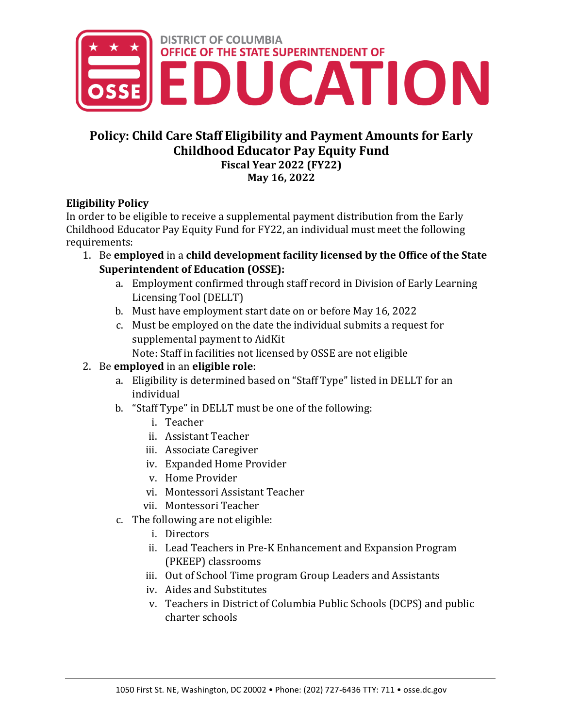

# **Policy: Child Care Staff Eligibility and Payment Amounts for Early Childhood Educator Pay Equity Fund Fiscal Year 2022 (FY22)**

**May 16, 2022**

## **Eligibility Policy**

In order to be eligible to receive a supplemental payment distribution from the Early Childhood Educator Pay Equity Fund for FY22, an individual must meet the following requirements:

- 1. Be **employed** in a **child development facility licensed by the Office of the State Superintendent of Education (OSSE):**
	- a. Employment confirmed through staff record in Division of Early Learning Licensing Tool (DELLT)
	- b. Must have employment start date on or before May 16, 2022
	- c. Must be employed on the date the individual submits a request for supplemental payment to AidKit
		- Note: Staff in facilities not licensed by OSSE are not eligible

# 2. Be **employed** in an **eligible role**:

- a. Eligibility is determined based on "Staff Type" listed in DELLT for an individual
- b. "Staff Type" in DELLT must be one of the following:
	- i. Teacher
	- ii. Assistant Teacher
	- iii. Associate Caregiver
	- iv. Expanded Home Provider
	- v. Home Provider
	- vi. Montessori Assistant Teacher
	- vii. Montessori Teacher
- c. The following are not eligible:
	- i. Directors
	- ii. Lead Teachers in Pre-K Enhancement and Expansion Program (PKEEP) classrooms
	- iii. Out of School Time program Group Leaders and Assistants
	- iv. Aides and Substitutes
	- v. Teachers in District of Columbia Public Schools (DCPS) and public charter schools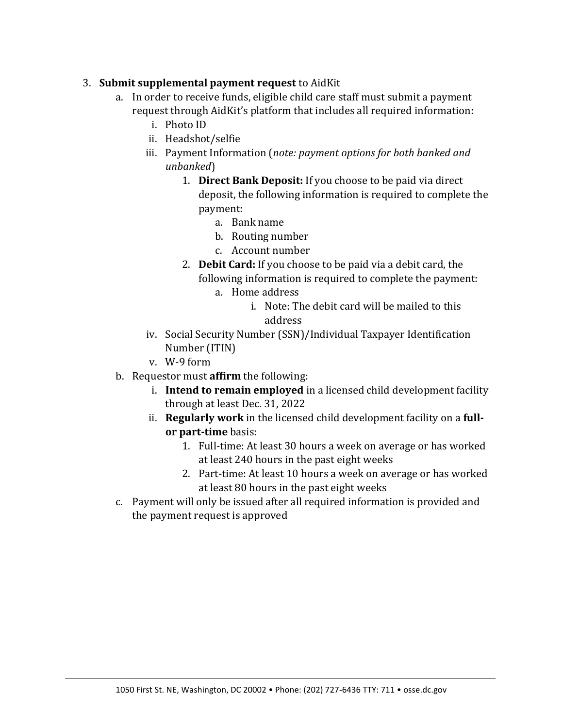#### 3. **Submit supplemental payment request** to AidKit

- a. In order to receive funds, eligible child care staff must submit a payment request through AidKit's platform that includes all required information:
	- i. Photo ID
	- ii. Headshot/selfie
	- iii. Payment Information (*note: payment options for both banked and unbanked*)
		- 1. **Direct Bank Deposit:** If you choose to be paid via direct deposit, the following information is required to complete the payment:
			- a. Bank name
			- b. Routing number
			- c. Account number
		- 2. **Debit Card:** If you choose to be paid via a debit card, the following information is required to complete the payment:
			- a. Home address
				- i. Note: The debit card will be mailed to this address
	- iv. Social Security Number (SSN)/Individual Taxpayer Identification Number (ITIN)
	- v. W-9 form
- b. Requestor must **affirm** the following:
	- i. **Intend to remain employed** in a licensed child development facility through at least Dec. 31, 2022
	- ii. **Regularly work** in the licensed child development facility on a **fullor part-time** basis:
		- 1. Full-time: At least 30 hours a week on average or has worked at least 240 hours in the past eight weeks
		- 2. Part-time: At least 10 hours a week on average or has worked at least 80 hours in the past eight weeks
- c. Payment will only be issued after all required information is provided and the payment request is approved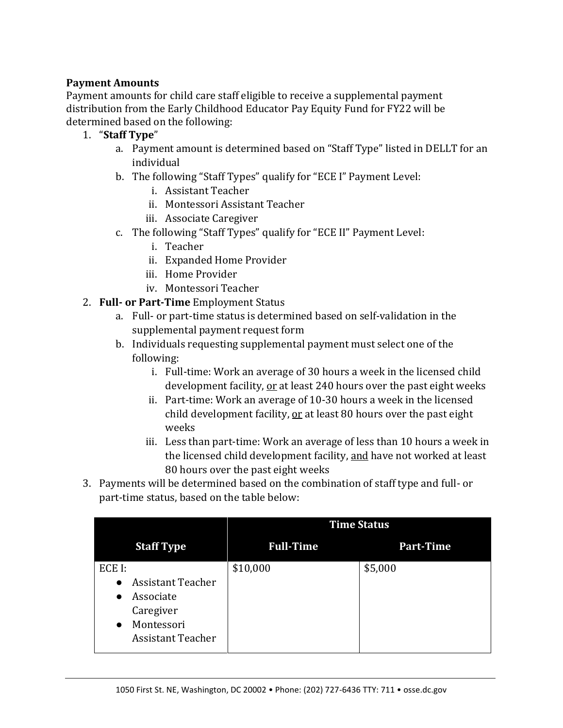### **Payment Amounts**

Payment amounts for child care staff eligible to receive a supplemental payment distribution from the Early Childhood Educator Pay Equity Fund for FY22 will be determined based on the following:

- 1. "**Staff Type**"
	- a. Payment amount is determined based on "Staff Type" listed in DELLT for an individual
	- b. The following "Staff Types" qualify for "ECE I" Payment Level:
		- i. Assistant Teacher
		- ii. Montessori Assistant Teacher
		- iii. Associate Caregiver
	- c. The following "Staff Types" qualify for "ECE II" Payment Level:
		- i. Teacher
		- ii. Expanded Home Provider
		- iii. Home Provider
		- iv. Montessori Teacher
- 2. **Full- or Part-Time** Employment Status
	- a. Full- or part-time status is determined based on self-validation in the supplemental payment request form
	- b. Individuals requesting supplemental payment must select one of the following:
		- i. Full-time: Work an average of 30 hours a week in the licensed child development facility, or at least 240 hours over the past eight weeks
		- ii. Part-time: Work an average of 10-30 hours a week in the licensed child development facility, or at least 80 hours over the past eight weeks
		- iii. Less than part-time: Work an average of less than 10 hours a week in the licensed child development facility, and have not worked at least 80 hours over the past eight weeks
- 3. Payments will be determined based on the combination of staff type and full- or part-time status, based on the table below:

|                                                                                                                                               | <b>Time Status</b> |                  |
|-----------------------------------------------------------------------------------------------------------------------------------------------|--------------------|------------------|
| <b>Staff Type</b>                                                                                                                             | <b>Full-Time</b>   | <b>Part-Time</b> |
| ECE I:<br><b>Assistant Teacher</b><br>$\bullet$<br>Associate<br>$\bullet$<br>Caregiver<br>Montessori<br>$\bullet$<br><b>Assistant Teacher</b> | \$10,000           | \$5,000          |